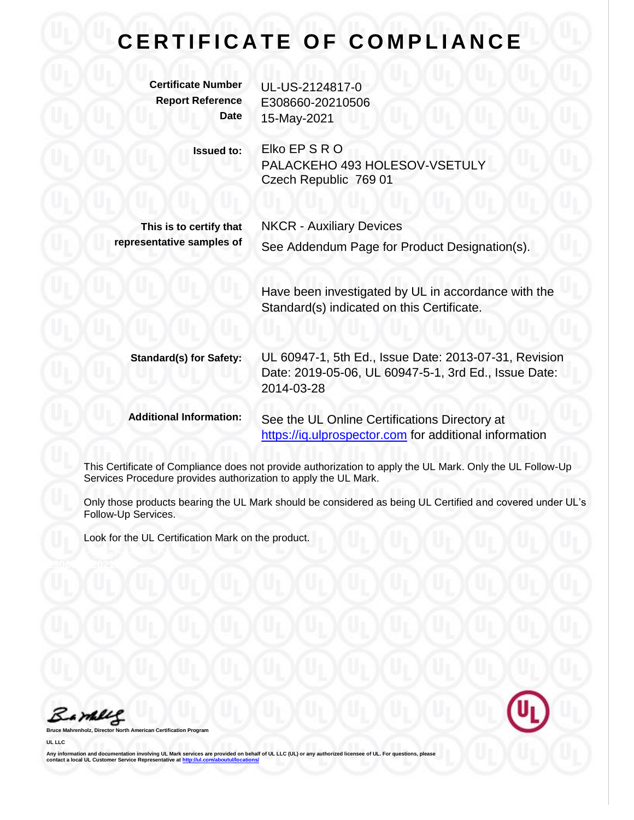## **CERTIFICATE OF COMPLIANCE**

| <b>Certificate Number</b><br><b>Report Reference</b><br><b>Date</b> | UL-US-2124817-0<br>E308660-20210506<br>15-May-2021                                                                          |
|---------------------------------------------------------------------|-----------------------------------------------------------------------------------------------------------------------------|
| <b>Issued to:</b>                                                   | Elko EP S R O<br>PALACKEHO 493 HOLESOV-VSETULY<br>Czech Republic 769 01                                                     |
| This is to certify that<br>representative samples of                | <b>NKCR - Auxiliary Devices</b><br>See Addendum Page for Product Designation(s).                                            |
|                                                                     | Have been investigated by UL in accordance with the<br>Standard(s) indicated on this Certificate.                           |
|                                                                     |                                                                                                                             |
| <b>Standard(s) for Safety:</b>                                      | UL 60947-1, 5th Ed., Issue Date: 2013-07-31, Revision<br>Date: 2019-05-06, UL 60947-5-1, 3rd Ed., Issue Date:<br>2014-03-28 |
| <b>Additional Information:</b>                                      | See the UL Online Certifications Directory at<br>https://iq.ulprospector.com for additional information                     |

This Certificate of Compliance does not provide authorization to apply the UL Mark. Only the UL Follow-Up Services Procedure provides authorization to apply the UL Mark.

Only those products bearing the UL Mark should be considered as being UL Certified and covered under UL's Follow-Up Services.

Look for the UL Certification Mark on the product.

Barbles

**Bruce Mahrenholz, Director North American Certification Program**

**UL LLC**

Any information and documentation involving UL Mark services are provided on behalf of UL LLC (UL) or any authorized licensee of UL. For questions, please<br>contact a local UL Customer Service Representative at <u>http://ul.co</u>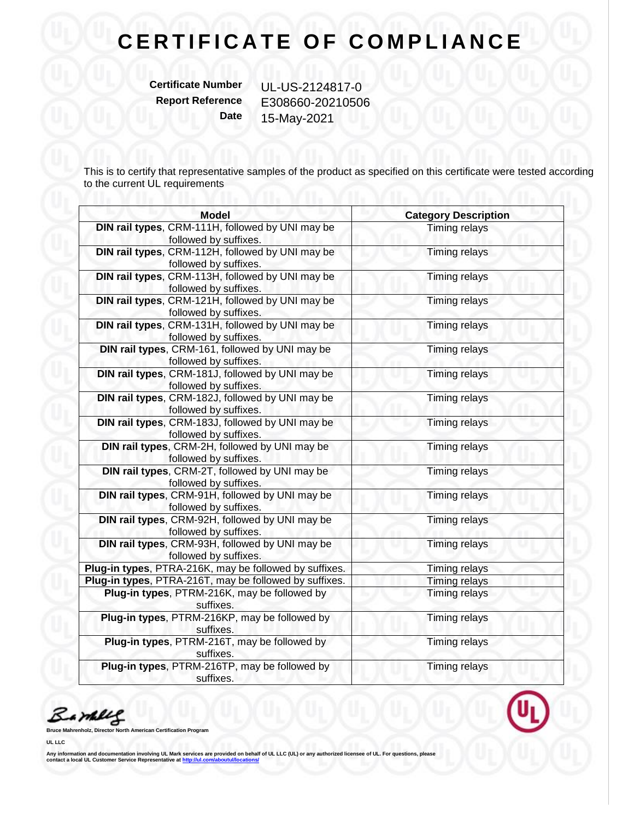## **CERTIFICATE OF COMPLIANCE**

**Certificate Number** UL-US-2124817-0

**Report Reference** E308660-20210506 **Date** 15-May-2021

This is to certify that representative samples of the product as specified on this certificate were tested according to the current UL requirements and the current UL requirements

| <b>Model</b>                                                              | <b>Category Description</b> |
|---------------------------------------------------------------------------|-----------------------------|
| DIN rail types, CRM-111H, followed by UNI may be<br>followed by suffixes. | <b>Timing relays</b>        |
| DIN rail types, CRM-112H, followed by UNI may be<br>followed by suffixes. | <b>Timing relays</b>        |
| DIN rail types, CRM-113H, followed by UNI may be<br>followed by suffixes. | <b>Timing relays</b>        |
| DIN rail types, CRM-121H, followed by UNI may be<br>followed by suffixes. | <b>Timing relays</b>        |
| DIN rail types, CRM-131H, followed by UNI may be<br>followed by suffixes. | <b>Timing relays</b>        |
| DIN rail types, CRM-161, followed by UNI may be<br>followed by suffixes.  | Timing relays               |
| DIN rail types, CRM-181J, followed by UNI may be<br>followed by suffixes. | <b>Timing relays</b>        |
| DIN rail types, CRM-182J, followed by UNI may be<br>followed by suffixes. | <b>Timing relays</b>        |
| DIN rail types, CRM-183J, followed by UNI may be<br>followed by suffixes. | <b>Timing relays</b>        |
| DIN rail types, CRM-2H, followed by UNI may be<br>followed by suffixes.   | Timing relays               |
| DIN rail types, CRM-2T, followed by UNI may be<br>followed by suffixes.   | Timing relays               |
| DIN rail types, CRM-91H, followed by UNI may be<br>followed by suffixes.  | <b>Timing relays</b>        |
| DIN rail types, CRM-92H, followed by UNI may be<br>followed by suffixes.  | <b>Timing relays</b>        |
| DIN rail types, CRM-93H, followed by UNI may be<br>followed by suffixes.  | Timing relays               |
| Plug-in types, PTRA-216K, may be followed by suffixes.                    | Timing relays               |
| Plug-in types, PTRA-216T, may be followed by suffixes.                    | <b>Timing relays</b>        |
| Plug-in types, PTRM-216K, may be followed by<br>suffixes.                 | <b>Timing relays</b>        |
| Plug-in types, PTRM-216KP, may be followed by<br>suffixes.                | <b>Timing relays</b>        |
| Plug-in types, PTRM-216T, may be followed by<br>suffixes.                 | Timing relays               |
| Plug-in types, PTRM-216TP, may be followed by<br>suffixes.                | Timing relays               |

Barney

**Bruce Mahrenholz, Director North American Certification Program**

**UL LLC**

Any information and documentation involving UL Mark services are provided on behalf of UL LLC (UL) or any authorized licensee of UL. For questions, please<br>contact a local UL Customer Service Representative at <u>http://ul.co</u>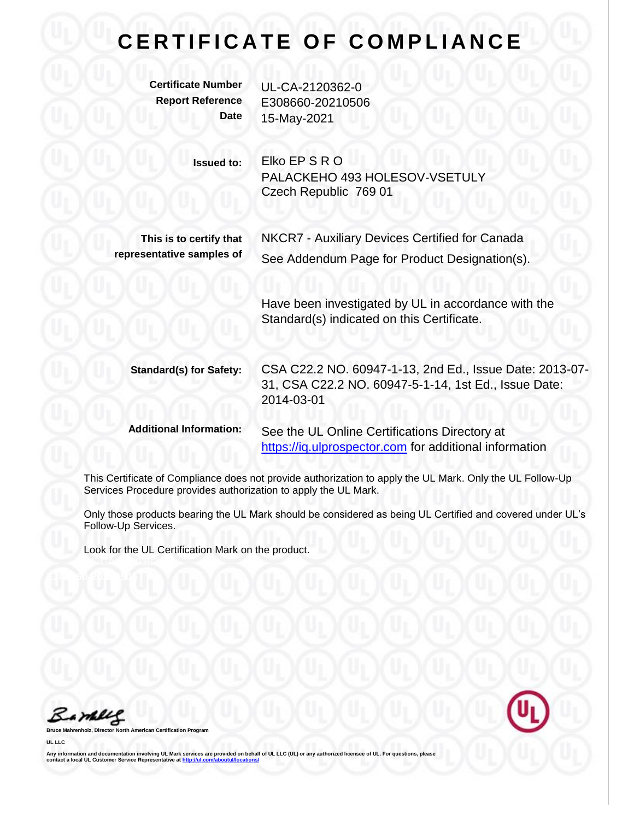## **C E R T I F I C A T E O F C O M P L I A N C E**

**Certificate Number** UL-CA-2120362-0

**Report Reference** E308660-20210506 **Date** 15-May-2021

> **Issued to:** Elko EP S R O PALACKEHO 493 HOLESOV-VSETULY Czech Republic 769 01

**This is to certify that representative samples of** NKCR7 - Auxiliary Devices Certified for Canada See Addendum Page for Product Designation(s).

Have been investigated by UL in accordance with the Standard(s) indicated on this Certificate.

**Standard(s) for Safety:** CSA C22.2 NO. 60947-1-13, 2nd Ed., Issue Date: 2013-07- 31, CSA C22.2 NO. 60947-5-1-14, 1st Ed., Issue Date: 2014-03-01

**Additional Information:** See the UL Online Certifications Directory at [https://iq.ulprospector.com](https://iq.ulprospector.com/) for additional information

This Certificate of Compliance does not provide authorization to apply the UL Mark. Only the UL Follow-Up Services Procedure provides authorization to apply the UL Mark.

Only those products bearing the UL Mark should be considered as being UL Certified and covered under UL's Follow-Up Services.

Look for the UL Certification Mark on the product.

Bambles

**Broard** 



**Any information and documentation involving UL Mark services are provided on behalf of UL LLC (UL) or any authorized licensee of UL. For questions, please communism and documentation involving OL mark Service Representative a[t http://ul.com/aboutul/locations/](http://ul.com/aboutul/locations/)**